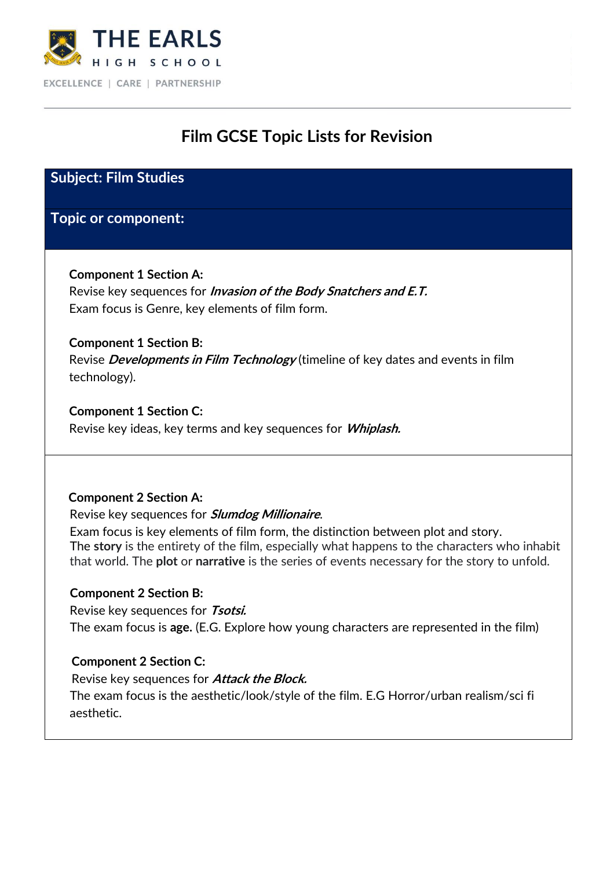

# **Film GCSE Topic Lists for Revision**

**Subject: Film Studies**

**Topic or component:**

**Component 1 Section A:**

Revise key sequences for **Invasion of the Body Snatchers and E.T.** Exam focus is Genre, key elements of film form.

**Component 1 Section B:** Revise **Developments in Film Technology** (timeline of key dates and events in film technology).

**Component 1 Section C:**  Revise key ideas, key terms and key sequences for **Whiplash.**

### **Component 2 Section A:**

Revise key sequences for **Slumdog Millionaire**.

 Exam focus is key elements of film form, the distinction between plot and story. The **story** is the entirety of the film, especially what happens to the characters who inhabit that world. The **plot** or **narrative** is the series of events necessary for the story to unfold.

### **Component 2 Section B:**

 Revise key sequences for **Tsotsi.** The exam focus is **age.** (E.G. Explore how young characters are represented in the film)

### **Component 2 Section C:**

Revise key sequences for **Attack the Block.** The exam focus is the aesthetic/look/style of the film. E.G Horror/urban realism/sci fi aesthetic.